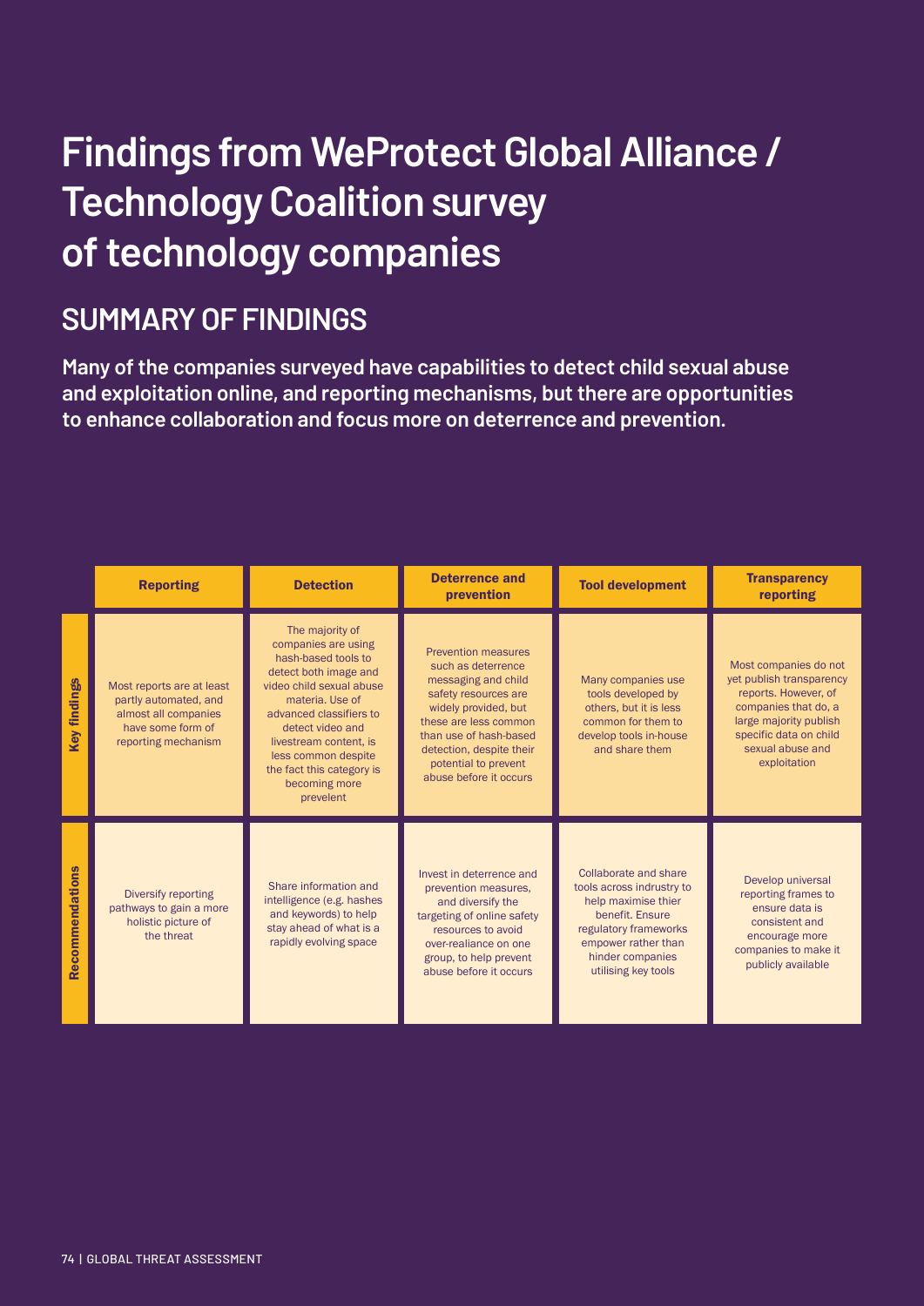# **Findings from WeProtect Global Alliance / Technology Coalition survey of technology companies**

### **SUMMARY OF FINDINGS**

**Many of the companies surveyed have capabilities to detect child sexual abuse and exploitation online, and reporting mechanisms, but there are opportunities to enhance collaboration and focus more on deterrence and prevention.**

|                 | <b>Reporting</b>                                                                                                       | <b>Detection</b>                                                                                                                                                                                                                                                                                 | <b>Deterrence and</b><br>prevention                                                                                                                                                                                                                      | <b>Tool development</b>                                                                                                                                                                 | <b>Transparency</b><br>reporting                                                                                                                                                          |
|-----------------|------------------------------------------------------------------------------------------------------------------------|--------------------------------------------------------------------------------------------------------------------------------------------------------------------------------------------------------------------------------------------------------------------------------------------------|----------------------------------------------------------------------------------------------------------------------------------------------------------------------------------------------------------------------------------------------------------|-----------------------------------------------------------------------------------------------------------------------------------------------------------------------------------------|-------------------------------------------------------------------------------------------------------------------------------------------------------------------------------------------|
| findings<br>Key | Most reports are at least<br>partly automated, and<br>almost all companies<br>have some form of<br>reporting mechanism | The majority of<br>companies are using<br>hash-based tools to<br>detect both image and<br>video child sexual abuse<br>materia. Use of<br>advanced classifiers to<br>detect video and<br>livestream content. is<br>less common despite<br>the fact this category is<br>becoming more<br>prevelent | <b>Prevention measures</b><br>such as deterrence<br>messaging and child<br>safety resources are<br>widely provided, but<br>these are less common<br>than use of hash-based<br>detection, despite their<br>potential to prevent<br>abuse before it occurs | Many companies use<br>tools developed by<br>others, but it is less<br>common for them to<br>develop tools in-house<br>and share them                                                    | Most companies do not<br>yet publish transparency<br>reports. However, of<br>companies that do, a<br>large majority publish<br>specific data on child<br>sexual abuse and<br>exploitation |
| Recommendations | Diversify reporting<br>pathways to gain a more<br>holistic picture of<br>the threat                                    | Share information and<br>intelligence (e.g. hashes<br>and keywords) to help<br>stay ahead of what is a<br>rapidly evolving space                                                                                                                                                                 | Invest in deterrence and<br>prevention measures.<br>and diversify the<br>targeting of online safety<br>resources to avoid<br>over-realiance on one<br>group, to help prevent<br>abuse before it occurs                                                   | Collaborate and share<br>tools across indrustry to<br>help maximise thier<br>benefit. Ensure<br>regulatory frameworks<br>empower rather than<br>hinder companies<br>utilising key tools | Develop universal<br>reporting frames to<br>ensure data is<br>consistent and<br>encourage more<br>companies to make it<br>publicly available                                              |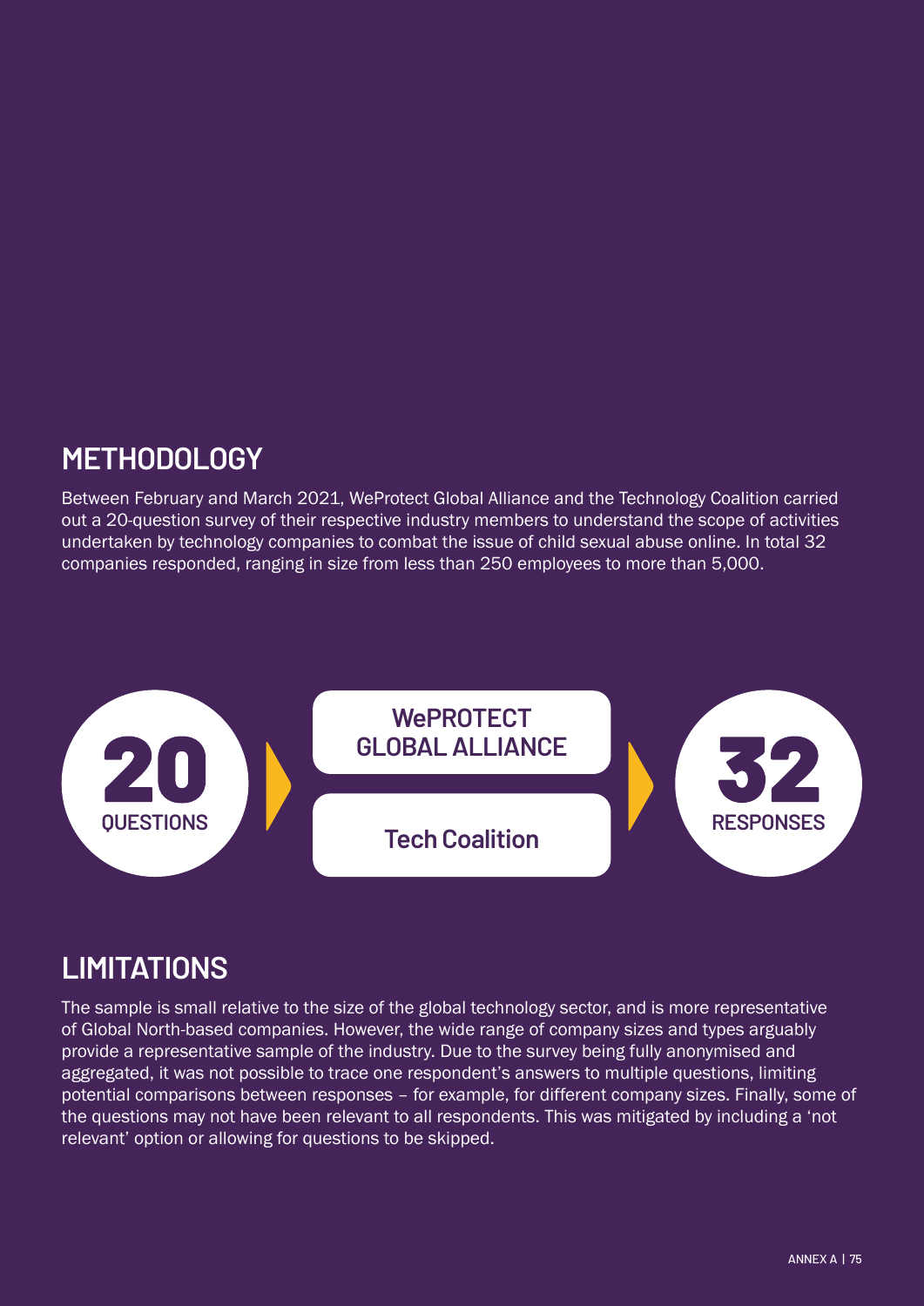### **METHODOLOGY**

Between February and March 2021, WeProtect Global Alliance and the Technology Coalition carried out a 20-question survey of their respective industry members to understand the scope of activities undertaken by technology companies to combat the issue of child sexual abuse online. In total 32 companies responded, ranging in size from less than 250 employees to more than 5,000.



### **LIMITATIONS**

The sample is small relative to the size of the global technology sector, and is more representative of Global North-based companies. However, the wide range of company sizes and types arguably provide a representative sample of the industry. Due to the survey being fully anonymised and aggregated, it was not possible to trace one respondent's answers to multiple questions, limiting potential comparisons between responses – for example, for different company sizes. Finally, some of the questions may not have been relevant to all respondents. This was mitigated by including a 'not relevant' option or allowing for questions to be skipped.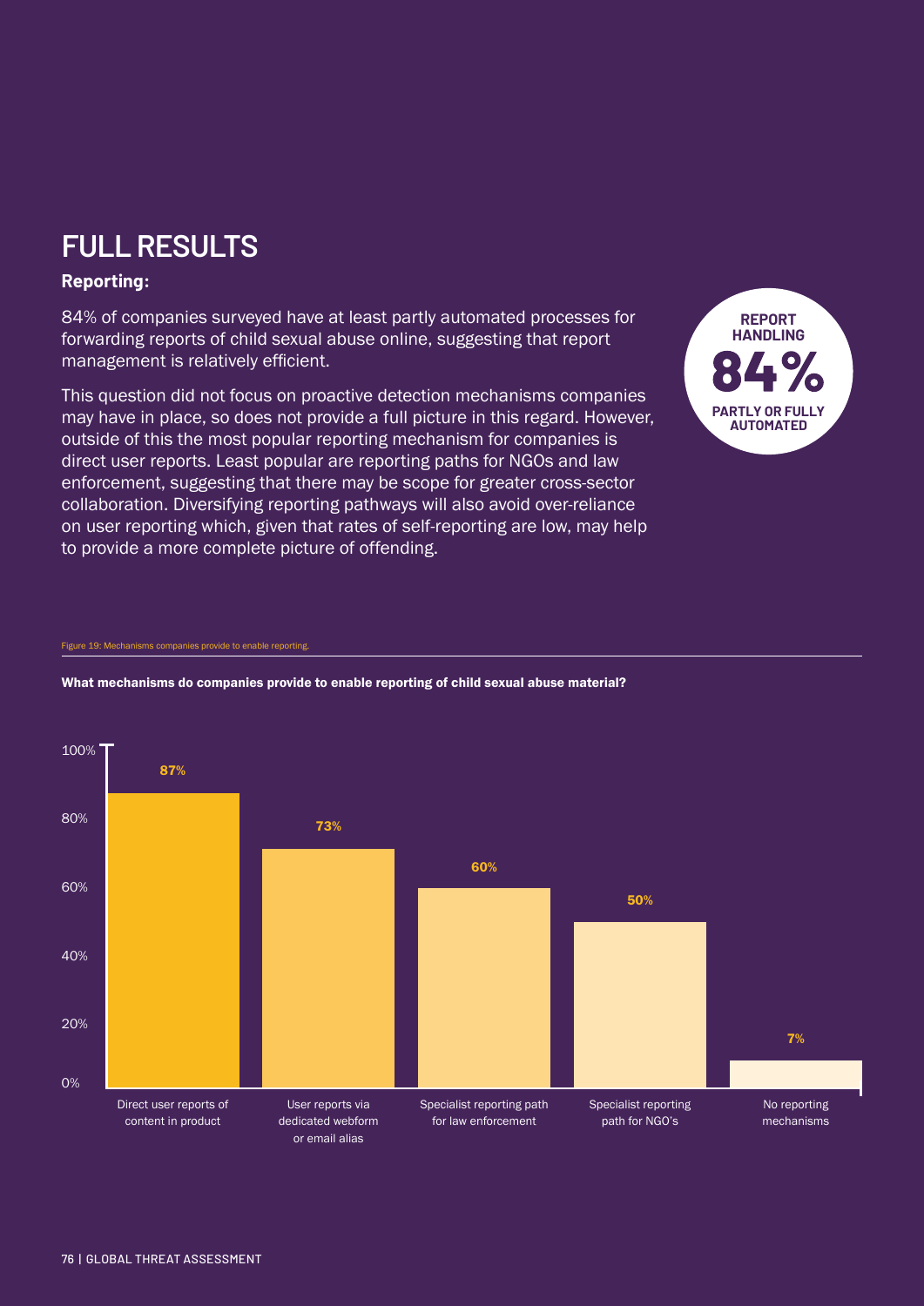## **FULL RESULTS**

### **Reporting:**

84% of companies surveyed have at least partly automated processes for forwarding reports of child sexual abuse online, suggesting that report management is relatively efficient.

**REPORT HANDLING**

**PARTLY OR FULLY AUTOMATED**

This question did not focus on proactive detection mechanisms companies may have in place, so does not provide a full picture in this regard. However, outside of this the most popular reporting mechanism for companies is direct user reports. Least popular are reporting paths for NGOs and law enforcement, suggesting that there may be scope for greater cross-sector collaboration. Diversifying reporting pathways will also avoid over-reliance on user reporting which, given that rates of self-reporting are low, may help to provide a more complete picture of offending.

### Figure 19: Mechanisms companies provide to enable reporting.



### What mechanisms do companies provide to enable reporting of child sexual abuse material?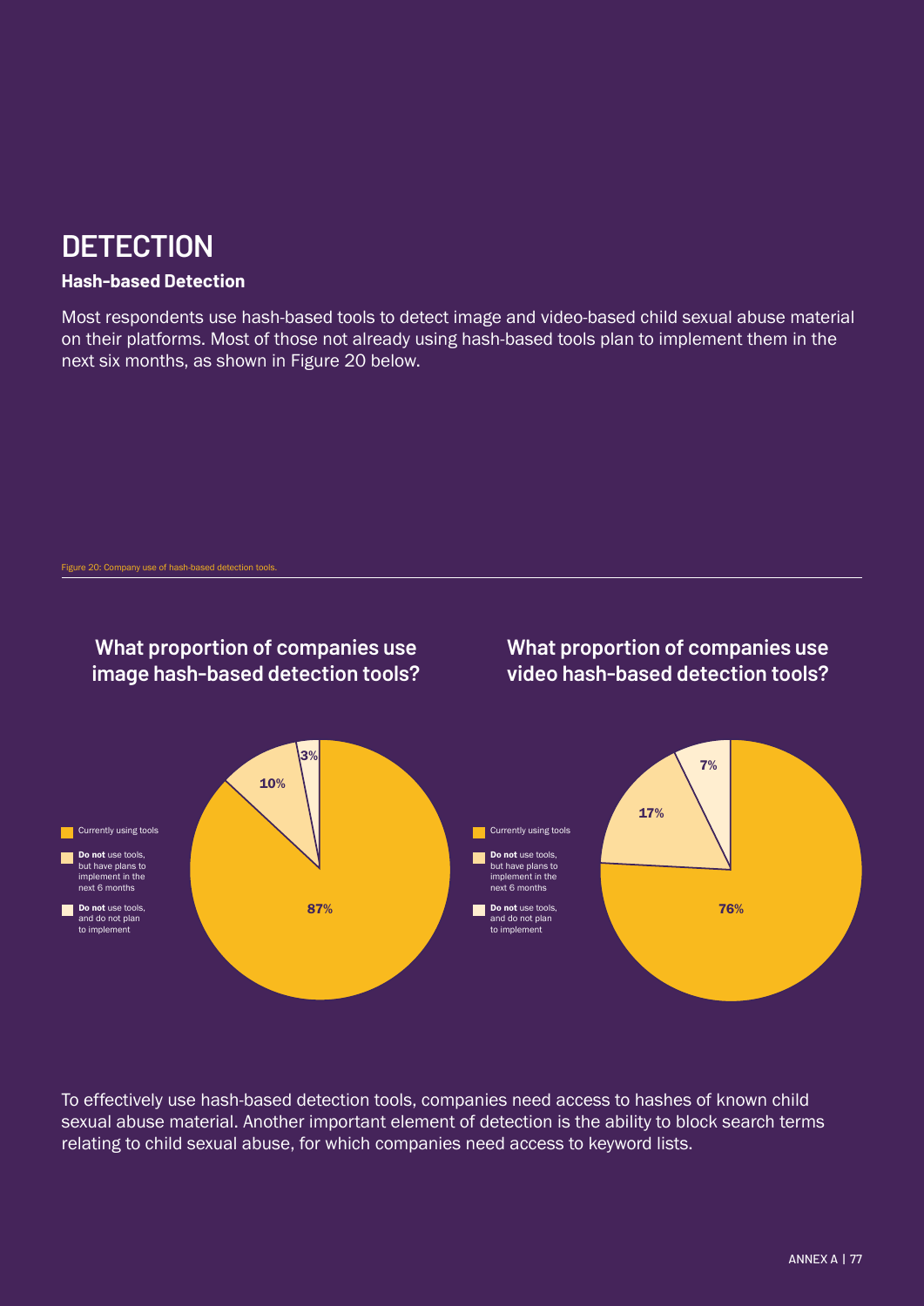### **DETECTION**

### **Hash-based Detection**

Most respondents use hash-based tools to detect image and video-based child sexual abuse material on their platforms. Most of those not already using hash-based tools plan to implement them in the next six months, as shown in Figure 20 below.



To effectively use hash-based detection tools, companies need access to hashes of known child sexual abuse material. Another important element of detection is the ability to block search terms relating to child sexual abuse, for which companies need access to keyword lists.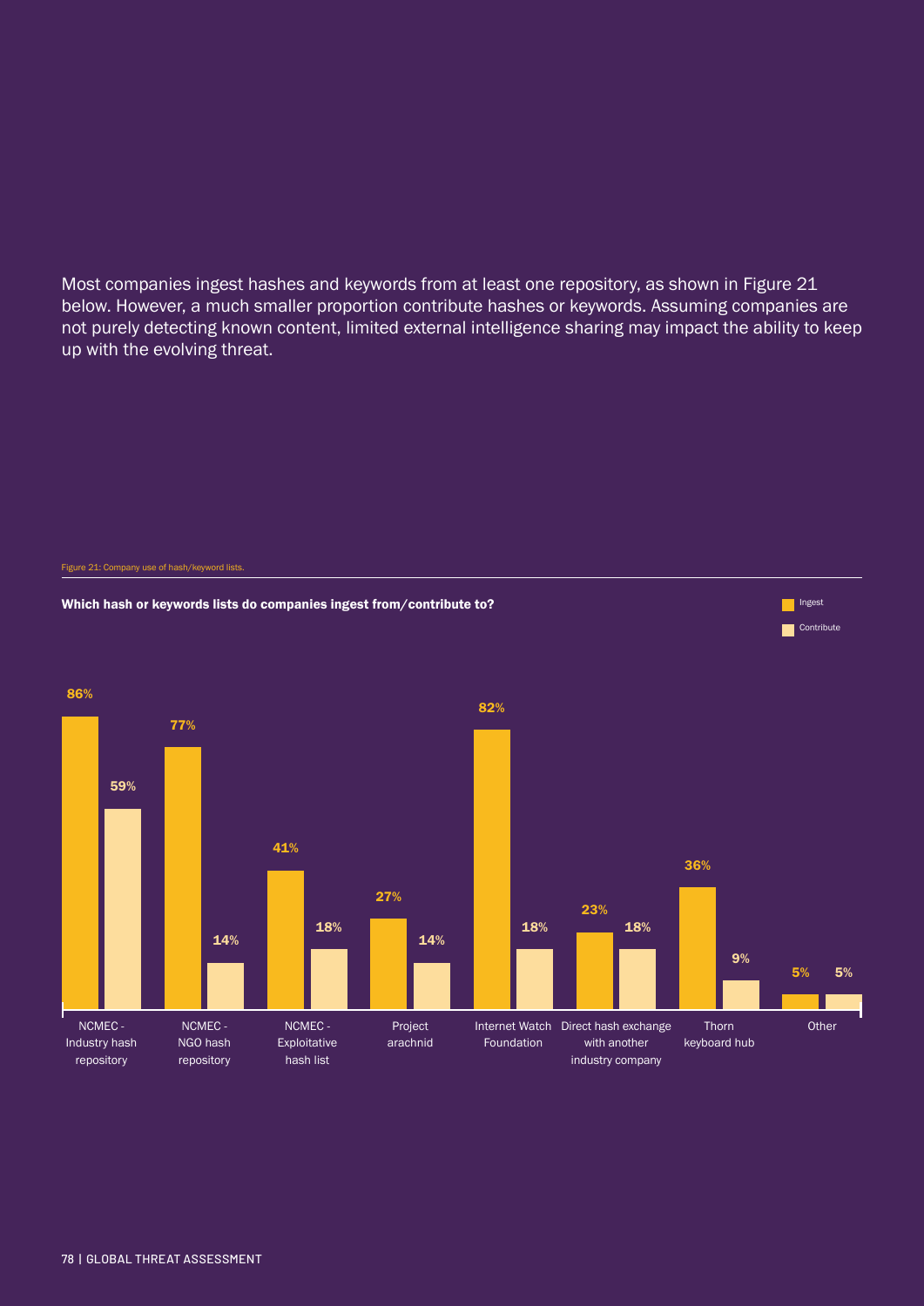Most companies ingest hashes and keywords from at least one repository, as shown in Figure 21 below. However, a much smaller proportion contribute hashes or keywords. Assuming companies are not purely detecting known content, limited external intelligence sharing may impact the ability to keep up with the evolving threat.

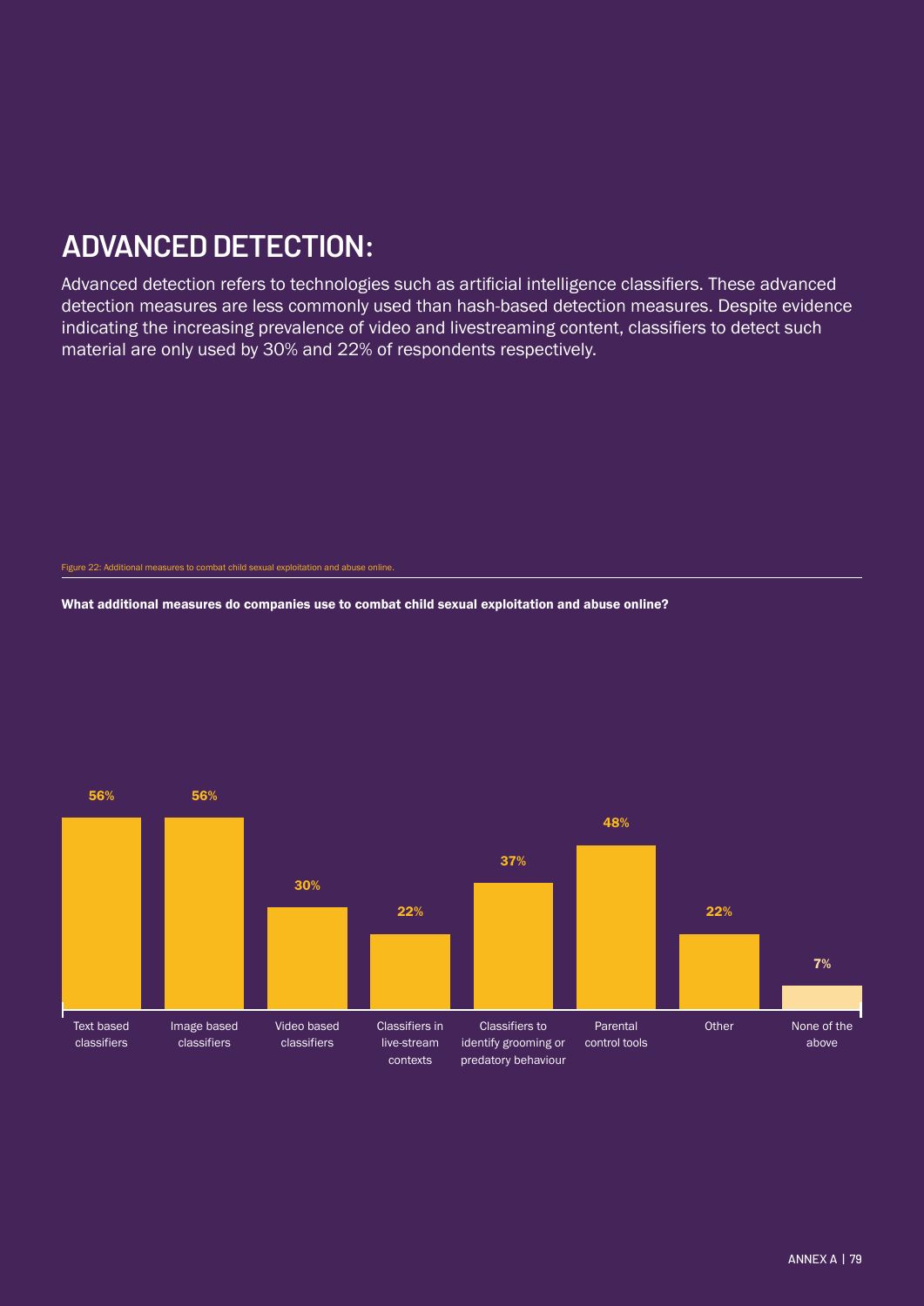## **ADVANCED DETECTION:**

Advanced detection refers to technologies such as artificial intelligence classifiers. These advanced detection measures are less commonly used than hash-based detection measures. Despite evidence indicating the increasing prevalence of video and livestreaming content, classifiers to detect such material are only used by 30% and 22% of respondents respectively.

What additional measures do companies use to combat child sexual exploitation and abuse online?

![](_page_5_Figure_4.jpeg)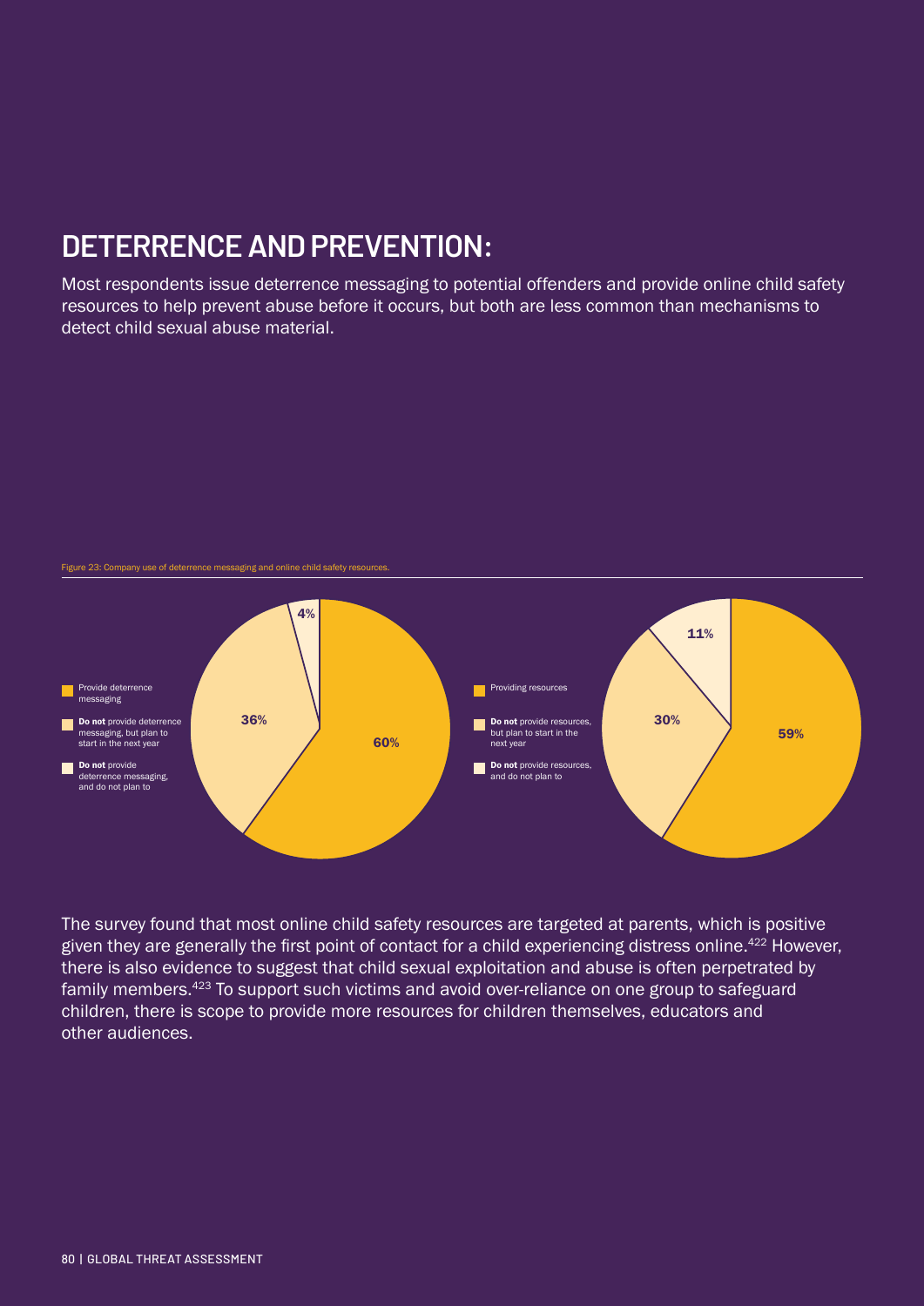### **DETERRENCE AND PREVENTION:**

Most respondents issue deterrence messaging to potential offenders and provide online child safety resources to help prevent abuse before it occurs, but both are less common than mechanisms to detect child sexual abuse material.

![](_page_6_Figure_2.jpeg)

The survey found that most online child safety resources are targeted at parents, which is positive given they are generally the first point of contact for a child experiencing distress online.<sup>422</sup> However, there is also evidence to suggest that child sexual exploitation and abuse is often perpetrated by family members.<sup>423</sup> To support such victims and avoid over-reliance on one group to safeguard children, there is scope to provide more resources for children themselves, educators and other audiences.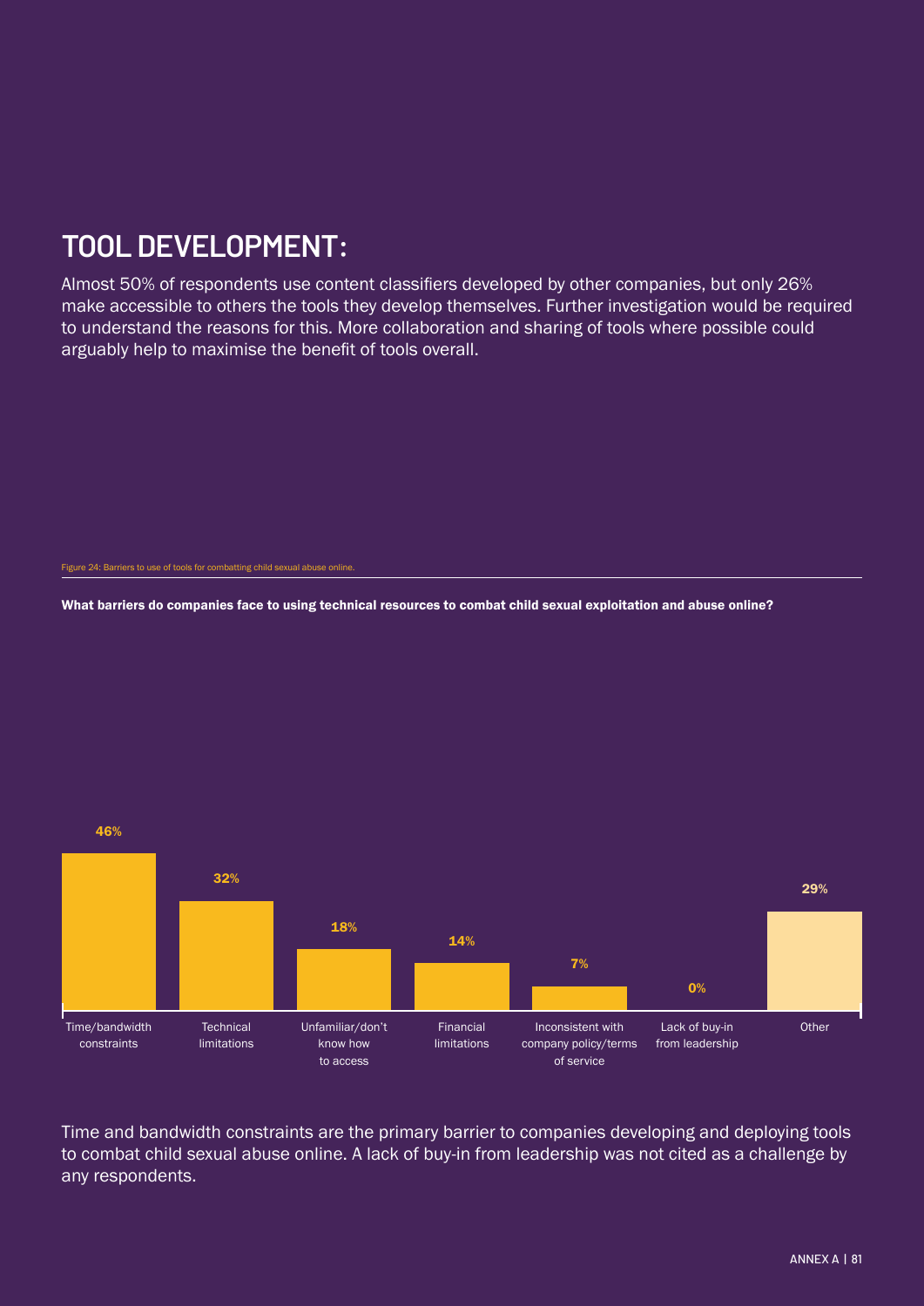## **TOOL DEVELOPMENT:**

Almost 50% of respondents use content classifiers developed by other companies, but only 26% make accessible to others the tools they develop themselves. Further investigation would be required to understand the reasons for this. More collaboration and sharing of tools where possible could arguably help to maximise the benefit of tools overall.

What barriers do companies face to using technical resources to combat child sexual exploitation and abuse online?

![](_page_7_Figure_4.jpeg)

Time and bandwidth constraints are the primary barrier to companies developing and deploying tools to combat child sexual abuse online. A lack of buy-in from leadership was not cited as a challenge by any respondents.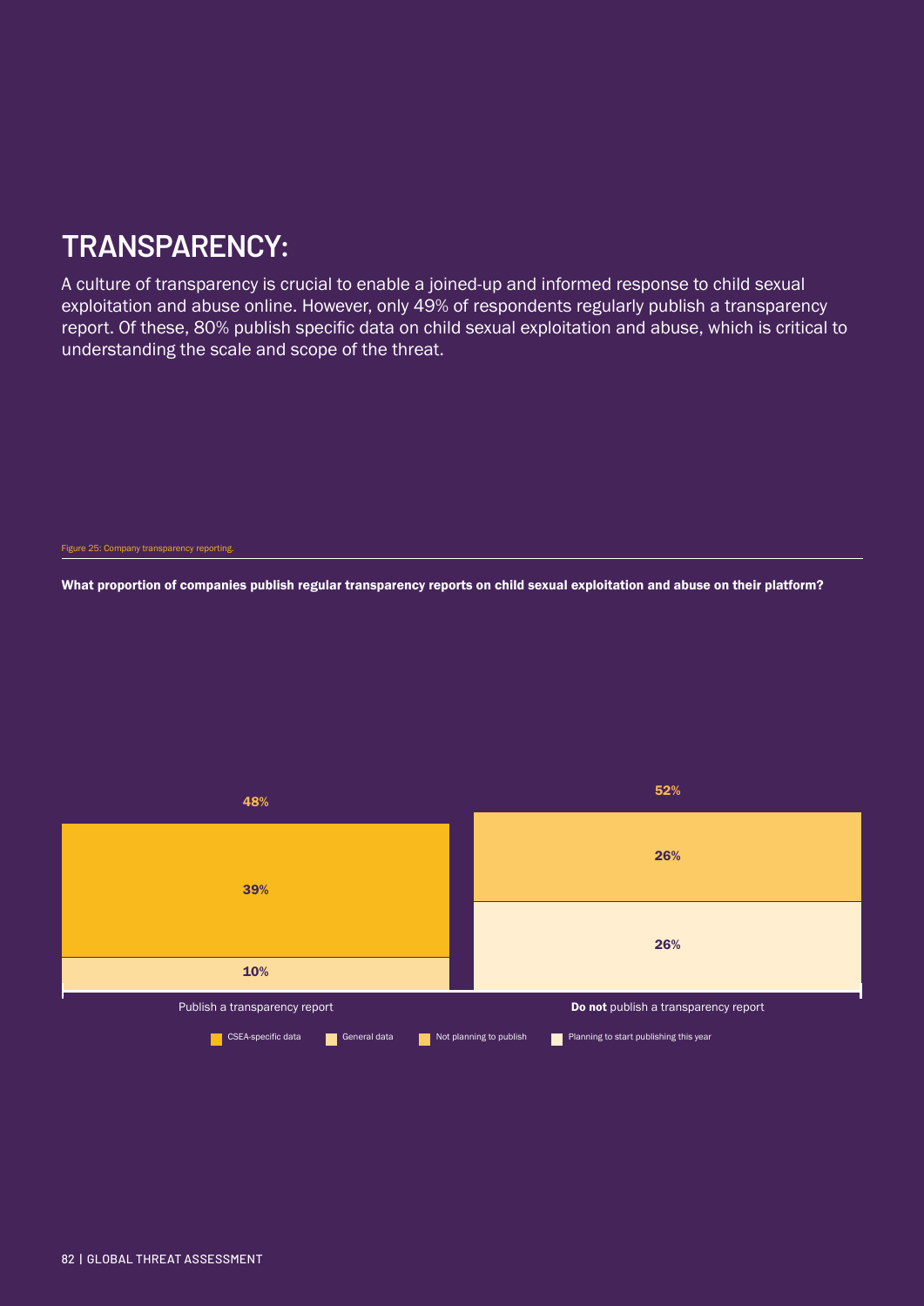### **TRANSPARENCY:**

A culture of transparency is crucial to enable a joined-up and informed response to child sexual exploitation and abuse online. However, only 49% of respondents regularly publish a transparency report. Of these, 80% publish specific data on child sexual exploitation and abuse, which is critical to understanding the scale and scope of the threat.

What proportion of companies publish regular transparency reports on child sexual exploitation and abuse on their platform?

![](_page_8_Figure_4.jpeg)